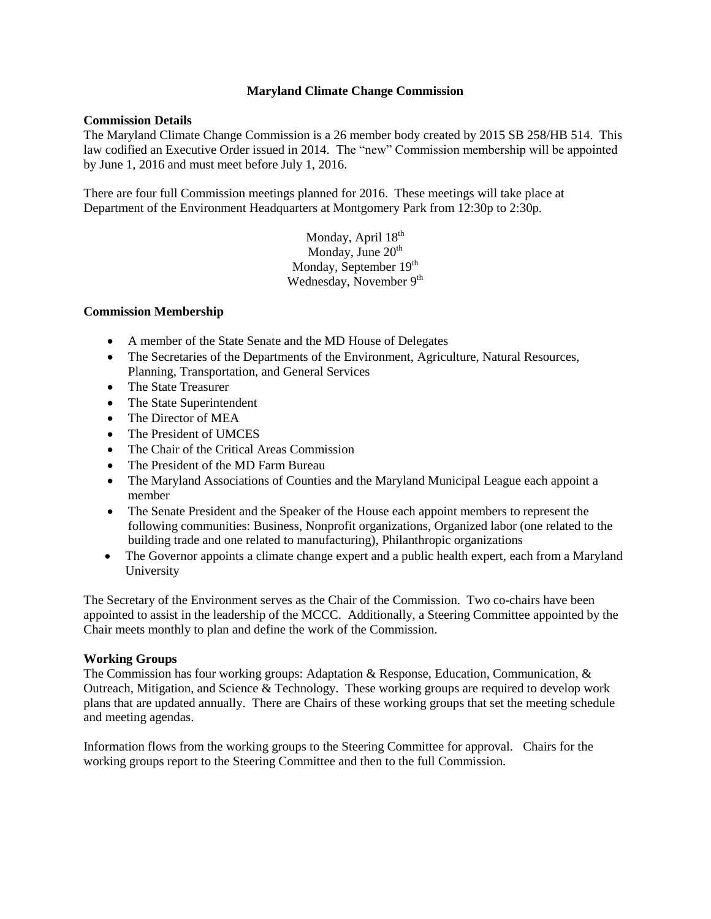#### **Maryland Climate Change Commission**

#### **Commission Details**

The Maryland Climate Change Commission is a 26 member body created by 2015 SB 258/HB 514. This law codified an Executive Order issued in 2014. The "new" Commission membership will be appointed by June 1, 2016 and must meet before July 1, 2016.

There are four full Commission meetings planned for 2016. These meetings will take place at Department of the Environment Headquarters at Montgomery Park from 12:30p to 2:30p.

> Monday, April 18<sup>th</sup> Monday, June  $20<sup>th</sup>$ Monday, September 19<sup>th</sup> Wednesday, November 9<sup>th</sup>

#### **Commission Membership**

- A member of the State Senate and the MD House of Delegates
- The Secretaries of the Departments of the Environment, Agriculture, Natural Resources, Planning, Transportation, and General Services
- The State Treasurer
- The State Superintendent
- The Director of MEA
- The President of UMCES
- The Chair of the Critical Areas Commission
- The President of the MD Farm Bureau
- The Maryland Associations of Counties and the Maryland Municipal League each appoint a member
- The Senate President and the Speaker of the House each appoint members to represent the following communities: Business, Nonprofit organizations, Organized labor (one related to the building trade and one related to manufacturing), Philanthropic organizations
- The Governor appoints a climate change expert and a public health expert, each from a Maryland University

The Secretary of the Environment serves as the Chair of the Commission. Two co-chairs have been appointed to assist in the leadership of the MCCC. Additionally, a Steering Committee appointed by the Chair meets monthly to plan and define the work of the Commission.

# **Working Groups**

The Commission has four working groups: Adaptation & Response, Education, Communication, & Outreach, Mitigation, and Science & Technology. These working groups are required to develop work plans that are updated annually. There are Chairs of these working groups that set the meeting schedule and meeting agendas.

Information flows from the working groups to the Steering Committee for approval. Chairs for the working groups report to the Steering Committee and then to the full Commission.